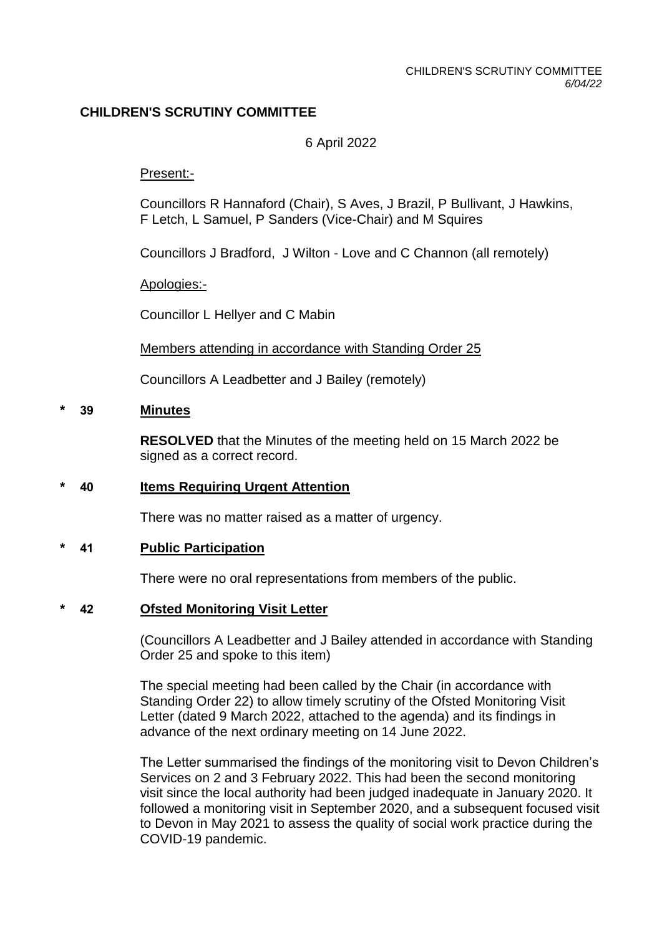# **CHILDREN'S SCRUTINY COMMITTEE**

### 6 April 2022

#### Present:-

Councillors R Hannaford (Chair), S Aves, J Brazil, P Bullivant, J Hawkins, F Letch, L Samuel, P Sanders (Vice-Chair) and M Squires

Councillors J Bradford, J Wilton - Love and C Channon (all remotely)

Apologies:-

Councillor L Hellyer and C Mabin

Members attending in accordance with Standing Order 25

Councillors A Leadbetter and J Bailey (remotely)

#### **\* 39 Minutes**

**RESOLVED** that the Minutes of the meeting held on 15 March 2022 be signed as a correct record.

#### **\* 40 Items Requiring Urgent Attention**

There was no matter raised as a matter of urgency.

#### **\* 41 Public Participation**

There were no oral representations from members of the public.

### **\* 42 Ofsted Monitoring Visit Letter**

(Councillors A Leadbetter and J Bailey attended in accordance with Standing Order 25 and spoke to this item)

The special meeting had been called by the Chair (in accordance with Standing Order 22) to allow timely scrutiny of the Ofsted Monitoring Visit Letter (dated 9 March 2022, attached to the agenda) and its findings in advance of the next ordinary meeting on 14 June 2022.

The Letter summarised the findings of the monitoring visit to Devon Children's Services on 2 and 3 February 2022. This had been the second monitoring visit since the local authority had been judged inadequate in January 2020. It followed a monitoring visit in September 2020, and a subsequent focused visit to Devon in May 2021 to assess the quality of social work practice during the COVID-19 pandemic.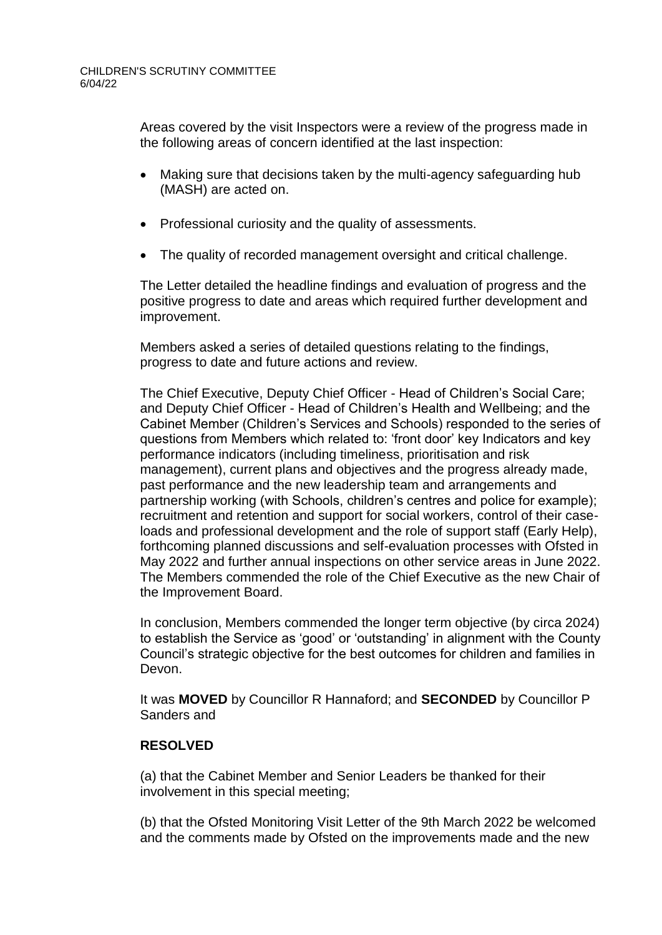Areas covered by the visit Inspectors were a review of the progress made in the following areas of concern identified at the last inspection:

- Making sure that decisions taken by the multi-agency safeguarding hub (MASH) are acted on.
- Professional curiosity and the quality of assessments.
- The quality of recorded management oversight and critical challenge.

The Letter detailed the headline findings and evaluation of progress and the positive progress to date and areas which required further development and improvement.

Members asked a series of detailed questions relating to the findings, progress to date and future actions and review.

The Chief Executive, Deputy Chief Officer - Head of Children's Social Care; and Deputy Chief Officer - Head of Children's Health and Wellbeing; and the Cabinet Member (Children's Services and Schools) responded to the series of questions from Members which related to: 'front door' key Indicators and key performance indicators (including timeliness, prioritisation and risk management), current plans and objectives and the progress already made, past performance and the new leadership team and arrangements and partnership working (with Schools, children's centres and police for example); recruitment and retention and support for social workers, control of their caseloads and professional development and the role of support staff (Early Help), forthcoming planned discussions and self-evaluation processes with Ofsted in May 2022 and further annual inspections on other service areas in June 2022. The Members commended the role of the Chief Executive as the new Chair of the Improvement Board.

In conclusion, Members commended the longer term objective (by circa 2024) to establish the Service as 'good' or 'outstanding' in alignment with the County Council's strategic objective for the best outcomes for children and families in Devon.

It was **MOVED** by Councillor R Hannaford; and **SECONDED** by Councillor P Sanders and

### **RESOLVED**

(a) that the Cabinet Member and Senior Leaders be thanked for their involvement in this special meeting;

(b) that the Ofsted Monitoring Visit Letter of the 9th March 2022 be welcomed and the comments made by Ofsted on the improvements made and the new